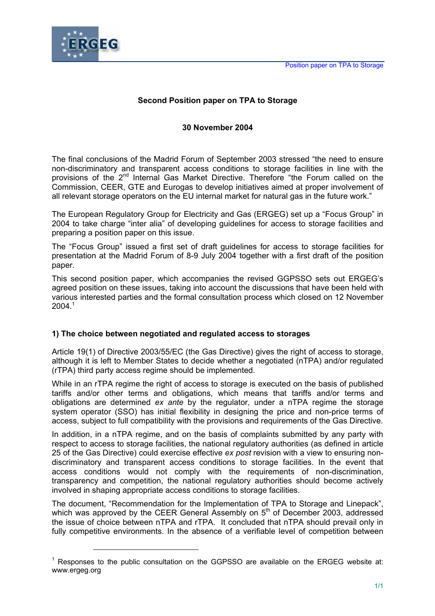

 $\overline{a}$ 

# **Second Position paper on TPA to Storage**

## **30 November 2004**

The final conclusions of the Madrid Forum of September 2003 stressed "the need to ensure non-discriminatory and transparent access conditions to storage facilities in line with the provisions of the 2<sup>nd</sup> Internal Gas Market Directive. Therefore "the Forum called on the Commission, CEER, GTE and Eurogas to develop initiatives aimed at proper involvement of all relevant storage operators on the EU internal market for natural gas in the future work."

The European Regulatory Group for Electricity and Gas (ERGEG) set up a "Focus Group" in 2004 to take charge "inter alia" of developing guidelines for access to storage facilities and preparing a position paper on this issue.

The "Focus Group" issued a first set of draft guidelines for access to storage facilities for presentation at the Madrid Forum of 8-9 July 2004 together with a first draft of the position paper.

This second position paper, which accompanies the revised GGPSSO sets out ERGEG's agreed position on these issues, taking into account the discussions that have been held with various interested parties and the formal consultation process which closed on 12 November  $2004.<sup>1</sup>$ 

## **1) The choice between negotiated and regulated access to storages**

Article 19(1) of Directive 2003/55/EC (the Gas Directive) gives the right of access to storage, although it is left to Member States to decide whether a negotiated (nTPA) and/or regulated (rTPA) third party access regime should be implemented.

While in an rTPA regime the right of access to storage is executed on the basis of published tariffs and/or other terms and obligations, which means that tariffs and/or terms and obligations are determined *ex ante* by the regulator, under a nTPA regime the storage system operator (SSO) has initial flexibility in designing the price and non-price terms of access, subject to full compatibility with the provisions and requirements of the Gas Directive.

In addition, in a nTPA regime, and on the basis of complaints submitted by any party with respect to access to storage facilities, the national regulatory authorities (as defined in article 25 of the Gas Directive) could exercise effective *ex post* revision with a view to ensuring nondiscriminatory and transparent access conditions to storage facilities. In the event that access conditions would not comply with the requirements of non-discrimination, transparency and competition, the national regulatory authorities should become actively involved in shaping appropriate access conditions to storage facilities.

The document, "Recommendation for the Implementation of TPA to Storage and Linepack", which was approved by the CEER General Assembly on 5<sup>th</sup> of December 2003, addressed the issue of choice between nTPA and rTPA. It concluded that nTPA should prevail only in fully competitive environments. In the absence of a verifiable level of competition between

 $1$  Responses to the public consultation on the GGPSSO are available on the ERGEG website at: www.ergeg.org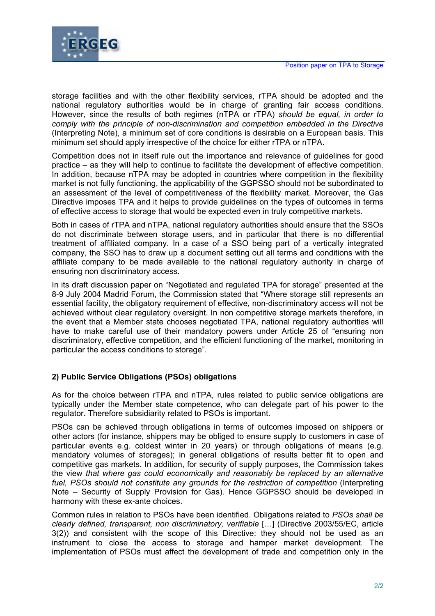

storage facilities and with the other flexibility services, rTPA should be adopted and the national regulatory authorities would be in charge of granting fair access conditions. However, since the results of both regimes (nTPA or rTPA) *should be equal, in order to comply with the principle of non-discrimination and competition embedded in the Directive* (Interpreting Note), a minimum set of core conditions is desirable on a European basis. This minimum set should apply irrespective of the choice for either rTPA or nTPA.

Competition does not in itself rule out the importance and relevance of guidelines for good practice – as they will help to continue to facilitate the development of effective competition. In addition, because nTPA may be adopted in countries where competition in the flexibility market is not fully functioning, the applicability of the GGPSSO should not be subordinated to an assessment of the level of competitiveness of the flexibility market. Moreover, the Gas Directive imposes TPA and it helps to provide guidelines on the types of outcomes in terms of effective access to storage that would be expected even in truly competitive markets.

Both in cases of rTPA and nTPA, national regulatory authorities should ensure that the SSOs do not discriminate between storage users, and in particular that there is no differential treatment of affiliated company. In a case of a SSO being part of a vertically integrated company, the SSO has to draw up a document setting out all terms and conditions with the affiliate company to be made available to the national regulatory authority in charge of ensuring non discriminatory access.

In its draft discussion paper on "Negotiated and regulated TPA for storage" presented at the 8-9 July 2004 Madrid Forum, the Commission stated that "Where storage still represents an essential facility, the obligatory requirement of effective, non-discriminatory access will not be achieved without clear regulatory oversight. In non competitive storage markets therefore, in the event that a Member state chooses negotiated TPA, national regulatory authorities will have to make careful use of their mandatory powers under Article 25 of "ensuring non discriminatory, effective competition, and the efficient functioning of the market, monitoring in particular the access conditions to storage".

# **2) Public Service Obligations (PSOs) obligations**

As for the choice between rTPA and nTPA, rules related to public service obligations are typically under the Member state competence, who can delegate part of his power to the regulator. Therefore subsidiarity related to PSOs is important.

PSOs can be achieved through obligations in terms of outcomes imposed on shippers or other actors (for instance, shippers may be obliged to ensure supply to customers in case of particular events e.g. coldest winter in 20 years) or through obligations of means (e.g. mandatory volumes of storages); in general obligations of results better fit to open and competitive gas markets. In addition, for security of supply purposes, the Commission takes the view *that where gas could economically and reasonably be replaced by an alternative fuel, PSOs should not constitute any grounds for the restriction of competition* (Interpreting Note – Security of Supply Provision for Gas). Hence GGPSSO should be developed in harmony with these ex-ante choices.

Common rules in relation to PSOs have been identified. Obligations related to *PSOs shall be clearly defined, transparent, non discriminatory, verifiable* […] (Directive 2003/55/EC, article 3(2)) and consistent with the scope of this Directive: they should not be used as an instrument to close the access to storage and hamper market development. The implementation of PSOs must affect the development of trade and competition only in the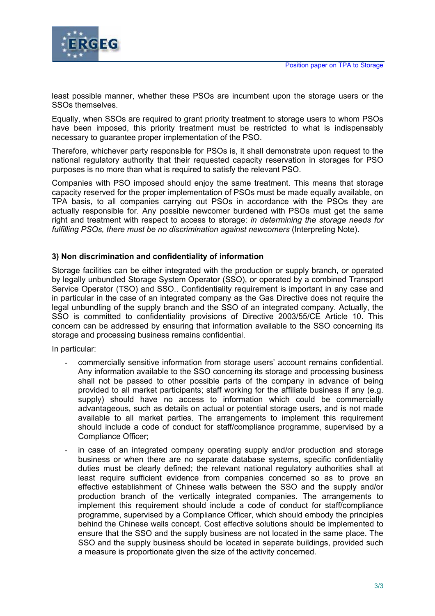

least possible manner, whether these PSOs are incumbent upon the storage users or the SSOs themselves.

Equally, when SSOs are required to grant priority treatment to storage users to whom PSOs have been imposed, this priority treatment must be restricted to what is indispensably necessary to guarantee proper implementation of the PSO.

Therefore, whichever party responsible for PSOs is, it shall demonstrate upon request to the national regulatory authority that their requested capacity reservation in storages for PSO purposes is no more than what is required to satisfy the relevant PSO.

Companies with PSO imposed should enjoy the same treatment. This means that storage capacity reserved for the proper implementation of PSOs must be made equally available, on TPA basis, to all companies carrying out PSOs in accordance with the PSOs they are actually responsible for. Any possible newcomer burdened with PSOs must get the same right and treatment with respect to access to storage: *in determining the storage needs for fulfilling PSOs, there must be no discrimination against newcomers* (Interpreting Note).

#### **3) Non discrimination and confidentiality of information**

Storage facilities can be either integrated with the production or supply branch, or operated by legally unbundled Storage System Operator (SSO), or operated by a combined Transport Service Operator (TSO) and SSO.. Confidentiality requirement is important in any case and in particular in the case of an integrated company as the Gas Directive does not require the legal unbundling of the supply branch and the SSO of an integrated company. Actually, the SSO is committed to confidentiality provisions of Directive 2003/55/CE Article 10. This concern can be addressed by ensuring that information available to the SSO concerning its storage and processing business remains confidential.

In particular:

- commercially sensitive information from storage users' account remains confidential. Any information available to the SSO concerning its storage and processing business shall not be passed to other possible parts of the company in advance of being provided to all market participants; staff working for the affiliate business if any (e.g. supply) should have no access to information which could be commercially advantageous, such as details on actual or potential storage users, and is not made available to all market parties. The arrangements to implement this requirement should include a code of conduct for staff/compliance programme, supervised by a Compliance Officer;
- in case of an integrated company operating supply and/or production and storage business or when there are no separate database systems, specific confidentiality duties must be clearly defined; the relevant national regulatory authorities shall at least require sufficient evidence from companies concerned so as to prove an effective establishment of Chinese walls between the SSO and the supply and/or production branch of the vertically integrated companies. The arrangements to implement this requirement should include a code of conduct for staff/compliance programme, supervised by a Compliance Officer, which should embody the principles behind the Chinese walls concept. Cost effective solutions should be implemented to ensure that the SSO and the supply business are not located in the same place. The SSO and the supply business should be located in separate buildings, provided such a measure is proportionate given the size of the activity concerned.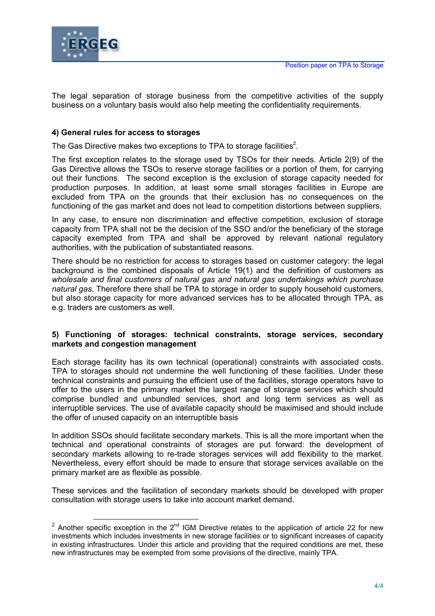

The legal separation of storage business from the competitive activities of the supply business on a voluntary basis would also help meeting the confidentiality requirements.

## **4) General rules for access to storages**

The Gas Directive makes two exceptions to TPA to storage facilities<sup>2</sup>.

The first exception relates to the storage used by TSOs for their needs. Article 2(9) of the Gas Directive allows the TSOs to reserve storage facilities or a portion of them, for carrying out their functions. The second exception is the exclusion of storage capacity needed for production purposes. In addition, at least some small storages facilities in Europe are excluded from TPA on the grounds that their exclusion has no consequences on the functioning of the gas market and does not lead to competition distortions between suppliers.

In any case, to ensure non discrimination and effective competition, exclusion of storage capacity from TPA shall not be the decision of the SSO and/or the beneficiary of the storage capacity exempted from TPA and shall be approved by relevant national regulatory authorities, with the publication of substantiated reasons.

There should be no restriction for access to storages based on customer category: the legal background is the combined disposals of Article 19(1) and the definition of customers as *wholesale and final customers of natural gas and natural gas undertakings which purchase natural gas*. Therefore there shall be TPA to storage in order to supply household customers, but also storage capacity for more advanced services has to be allocated through TPA, as e.g. traders are customers as well.

#### **5) Functioning of storages: technical constraints, storage services, secondary markets and congestion management**

Each storage facility has its own technical (operational) constraints with associated costs. TPA to storages should not undermine the well functioning of these facilities. Under these technical constraints and pursuing the efficient use of the facilities, storage operators have to offer to the users in the primary market the largest range of storage services which should comprise bundled and unbundled services, short and long term services as well as interruptible services. The use of available capacity should be maximised and should include the offer of unused capacity on an interruptible basis

In addition SSOs should facilitate secondary markets. This is all the more important when the technical and operational constraints of storages are put forward: the development of secondary markets allowing to re-trade storages services will add flexibility to the market. Nevertheless, every effort should be made to ensure that storage services available on the primary market are as flexible as possible.

These services and the facilitation of secondary markets should be developed with proper consultation with storage users to take into account market demand.

<sup>&</sup>lt;sup>2</sup> Another specific exception in the  $2^{nd}$  IGM Directive relates to the application of article 22 for new investments which includes investments in new storage facilities or to significant increases of capacity in existing infrastructures. Under this article and providing that the required conditions are met, these new infrastructures may be exempted from some provisions of the directive, mainly TPA.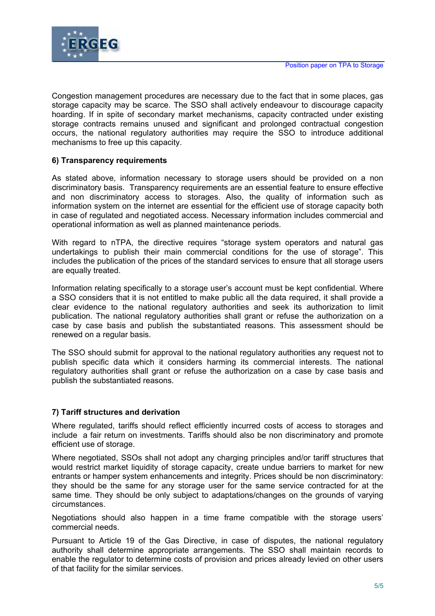

Congestion management procedures are necessary due to the fact that in some places, gas storage capacity may be scarce. The SSO shall actively endeavour to discourage capacity hoarding. If in spite of secondary market mechanisms, capacity contracted under existing storage contracts remains unused and significant and prolonged contractual congestion occurs, the national regulatory authorities may require the SSO to introduce additional mechanisms to free up this capacity.

## **6) Transparency requirements**

As stated above, information necessary to storage users should be provided on a non discriminatory basis. Transparency requirements are an essential feature to ensure effective and non discriminatory access to storages. Also, the quality of information such as information system on the internet are essential for the efficient use of storage capacity both in case of regulated and negotiated access. Necessary information includes commercial and operational information as well as planned maintenance periods.

With regard to nTPA, the directive requires "storage system operators and natural gas undertakings to publish their main commercial conditions for the use of storage". This includes the publication of the prices of the standard services to ensure that all storage users are equally treated.

Information relating specifically to a storage user's account must be kept confidential. Where a SSO considers that it is not entitled to make public all the data required, it shall provide a clear evidence to the national regulatory authorities and seek its authorization to limit publication. The national regulatory authorities shall grant or refuse the authorization on a case by case basis and publish the substantiated reasons. This assessment should be renewed on a regular basis.

The SSO should submit for approval to the national regulatory authorities any request not to publish specific data which it considers harming its commercial interests. The national regulatory authorities shall grant or refuse the authorization on a case by case basis and publish the substantiated reasons.

## **7) Tariff structures and derivation**

Where regulated, tariffs should reflect efficiently incurred costs of access to storages and include a fair return on investments. Tariffs should also be non discriminatory and promote efficient use of storage.

Where negotiated, SSOs shall not adopt any charging principles and/or tariff structures that would restrict market liquidity of storage capacity, create undue barriers to market for new entrants or hamper system enhancements and integrity. Prices should be non discriminatory: they should be the same for any storage user for the same service contracted for at the same time. They should be only subject to adaptations/changes on the grounds of varying circumstances.

Negotiations should also happen in a time frame compatible with the storage users' commercial needs.

Pursuant to Article 19 of the Gas Directive, in case of disputes, the national regulatory authority shall determine appropriate arrangements. The SSO shall maintain records to enable the regulator to determine costs of provision and prices already levied on other users of that facility for the similar services.